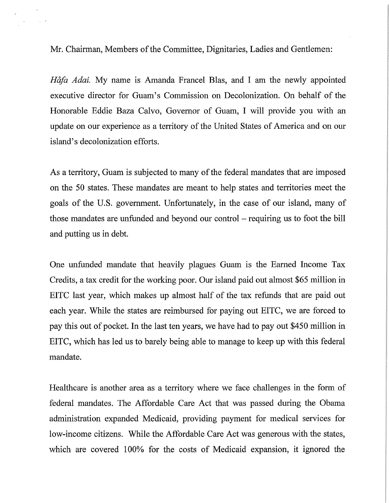Mr. Chairman, Members of the Committee, Dignitaries, Ladies and Gentlemen:

*Håfa Adai*. My name is Amanda Francel Blas, and I am the newly appointed executive director for Guam's Commission on Decolonization. On behalf of the Honorable Eddie Baza Calvo, Governor of Guam, I will provide you with an update on our experience as a territory of the United States of America and on our island's decolonization efforts.

As a territory, Guam is subjected to many of the federal mandates that are imposed on the 50 states. These mandates are meant to help states and territories meet the goals of the U.S. government. Unfortunately, in the case of our island, many of those mandates are unfunded and beyond our control  $-$  requiring us to foot the bill and putting us in debt.

One unfunded mandate that heavily plagues Guam is the Earned Income Tax Credits, a tax credit for the working poor. Our island paid out almost \$65 million in EITC last year, which makes up almost half of the tax refunds that are paid out each year. While the states are reimbursed for paying out EITC, we are forced to pay this out of pocket. In the last ten years, we have had to pay out \$450 million in EITC, which has led us to barely being able to manage to keep up with this federal mandate.

Healthcare is another area as a territory where we face challenges in the form of federal mandates. The Affordable Care Act that was passed during the Obama administration expanded Medicaid, providing payment for medical services for low-income citizens. While the Affordable Care Act was generous with the states, which are covered 100% for the costs of Medicaid expansion, it ignored the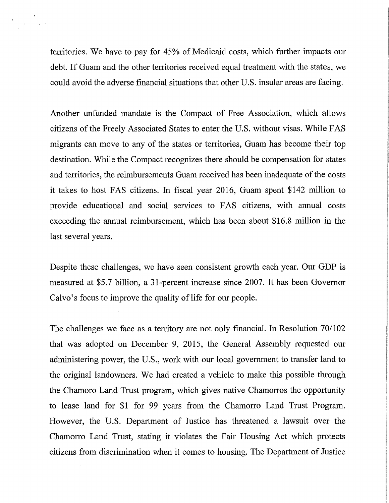territories. We have to pay for 45% of Medicaid costs, which further impacts our debt. If Guam and the other territories received equal treatment with the states, we could avoid the adverse financial situations that other U.S. insular areas are facing.

 $\sim 10^{11}$  m  $^{-1}$  and  $\sim$ 

Another unfunded mandate is the Compact of Free Association, which allows citizens of the Freely Associated States to enter the U.S. without visas. While FAS migrants can move to any of the states or territories, Guam has become their top destination. While the Compact recognizes there should be compensation for states and territories, the reimbursements Guam received has been inadequate of the costs it takes to host FAS citizens. In fiscal year 2016, Guam spent \$142 million to provide educational and social services to FAS citizens, with annual costs exceeding the annual reimbursement, which has been about \$16.8 million in the last several years.

Despite these challenges, we have seen consistent growth each year. Our GDP is measured at \$5.7 billion, a 31-percent increase since 2007. It has been Governor Calvo's focus to improve the quality of life for our people.

The challenges we face as a territory are not only financial. In Resolution 70/102 that was adopted on December 9, 2015, the General Assembly requested our administering power, the U.S., work with our local government to transfer land to the original landowners. We had created a vehicle to make this possible through the Chamoro Land Trust program, which gives native Chamorros the opportunity to lease land for \$1 for 99 years from the Chamorro Land Trust Program. However, the U.S. Department of Justice has threatened a lawsuit over the Chamorro Land Trust, stating it violates the Fair Housing Act which protects citizens from discrimination when it comes to housing. The Department of Justice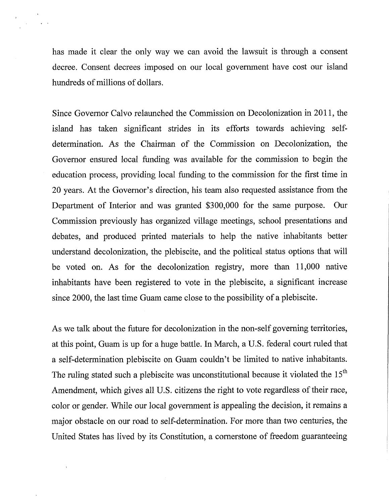has made it clear the only way we can avoid the lawsuit is through a consent decree. Consent decrees imposed on our local government have cost our island hundreds of millions of dollars.

 $\sqrt{2}$ 

 $\mathcal{A}^{\mathcal{A}}$ 

Since Governor Calvo relaunched the Commission on Decolonization in 2011, the island has taken significant strides in its efforts towards achieving selfdetermination. As the Chairman of the Commission on Decolonization, the Governor ensured local funding was available for the commission to begin the education process, providing local funding to the commission for the first time in 20 years. At the Governor's direction, his team also requested assistance from the Department of Interior and was granted \$300,000 for the same purpose. Our Commission previously has organized village meetings, school presentations and debates, and produced printed materials to help the native inhabitants better understand decolonization, the plebiscite, and the political status options that will be voted on. As for the decolonization registry, more than 11,000 native inhabitants have been registered to vote in the plebiscite, a significant increase since 2000, the last time Guam came close to the possibility of a plebiscite.

As we talk about the future for decolonization in the non-self governing territories, at this point, Guam is up for a huge battle. In March, a U.S. federal court ruled that a self-determination plebiscite on Guam couldn't be limited to native inhabitants. The ruling stated such a plebiscite was unconstitutional because it violated the  $15<sup>th</sup>$ Amendment, which gives all U.S. citizens the right to vote regardless of their race, color or gender. While our local government is appealing the decision, it remains a major obstacle on our road to self-determination. For more than two centuries, the United States has lived by its Constitution, a cornerstone of freedom guaranteeing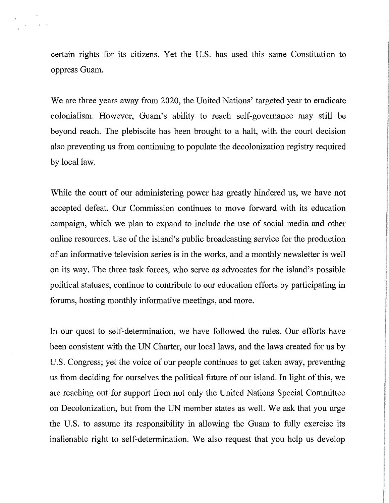certain rights for its citizens. Yet the U.S. has used this same Constitution to oppress Guam.

We are three years away from 2020, the United Nations' targeted year to eradicate colonialism. However, Guam's ability to reach self-governance may still be beyond reach. The plebiscite has been brought to a halt, with the court decision also preventing us from continuing to populate the decolonization registry required by local law.

While the court of our administering power has greatly hindered us, we have not accepted defeat. Our Commission continues to move forward with its education campaign, which we plan to expand to include the use of social media and other online resources. Use of the island's public broadcasting service for the production of an informative television series is in the works, and a monthly newsletter is well on its way. The three task forces, who serve as advocates for the island's possible political statuses, continue to contribute to our education efforts by participating in forums, hosting monthly informative meetings, and more.

In our quest to self-determination, we have followed the rules. Our efforts have been consistent with the UN Charter, our local laws, and the laws created for us by U.S. Congress; yet the voice of our people continues to get taken away, preventing us from deciding for ourselves the political future of our island. In light of this, we are reaching out for support from not only the United Nations Special Committee on Decolonization, but from the UN member states as well. We ask that you urge the U.S. to assume its responsibility in allowing the Guam to fully exercise its :inalienable right to self-determination. We also request that you help us develop